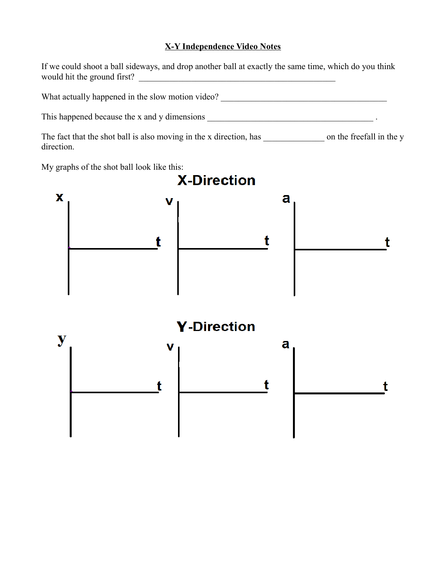## **X-Y Independence Video Notes**

|            | If we could shoot a ball sideways, and drop another ball at exactly the same time, which do you think<br>would hit the ground first? | <u> 1989 - Johann Barn, mars ann an t-Amhair ann an t-A</u> |   |  |
|------------|--------------------------------------------------------------------------------------------------------------------------------------|-------------------------------------------------------------|---|--|
|            | What actually happened in the slow motion video? ________________________________                                                    |                                                             |   |  |
|            |                                                                                                                                      |                                                             |   |  |
| direction. |                                                                                                                                      |                                                             |   |  |
|            | My graphs of the shot ball look like this:                                                                                           | <b>X-Direction</b>                                          |   |  |
| х          |                                                                                                                                      |                                                             | a |  |
| y          |                                                                                                                                      | <b>Y</b> -Direction                                         | a |  |
|            |                                                                                                                                      |                                                             |   |  |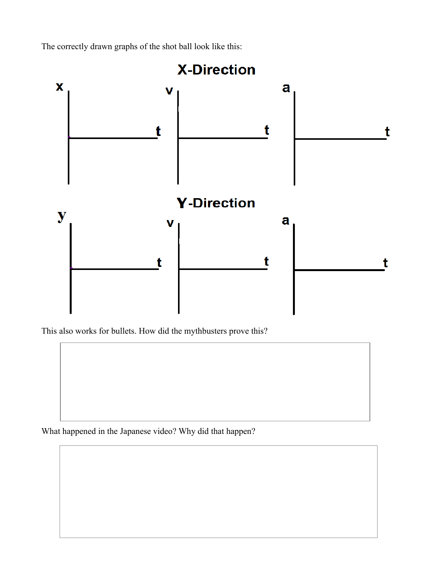The correctly drawn graphs of the shot ball look like this:



This also works for bullets. How did the mythbusters prove this?

What happened in the Japanese video? Why did that happen?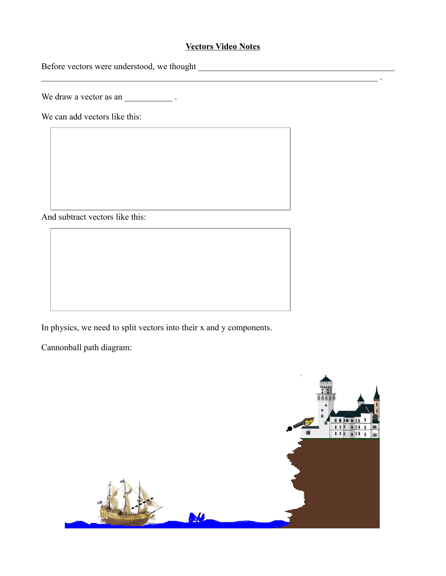## **Vectors Video Notes**

 $\mathcal{L}_\mathcal{L} = \{ \mathcal{L}_\mathcal{L} = \{ \mathcal{L}_\mathcal{L} = \{ \mathcal{L}_\mathcal{L} = \{ \mathcal{L}_\mathcal{L} = \{ \mathcal{L}_\mathcal{L} = \{ \mathcal{L}_\mathcal{L} = \{ \mathcal{L}_\mathcal{L} = \{ \mathcal{L}_\mathcal{L} = \{ \mathcal{L}_\mathcal{L} = \{ \mathcal{L}_\mathcal{L} = \{ \mathcal{L}_\mathcal{L} = \{ \mathcal{L}_\mathcal{L} = \{ \mathcal{L}_\mathcal{L} = \{ \mathcal{L}_\mathcal{$ 

Before vectors were understood, we thought \_\_\_\_\_\_\_\_\_\_\_\_\_\_\_\_\_\_\_\_\_\_\_\_\_\_\_\_\_\_\_\_\_\_\_\_\_\_\_\_\_\_\_\_\_

We draw a vector as an \_\_\_\_\_\_\_\_\_\_\_\_\_\_\_\_.

We can add vectors like this:

And subtract vectors like this:

In physics, we need to split vectors into their x and y components.

Cannonball path diagram:

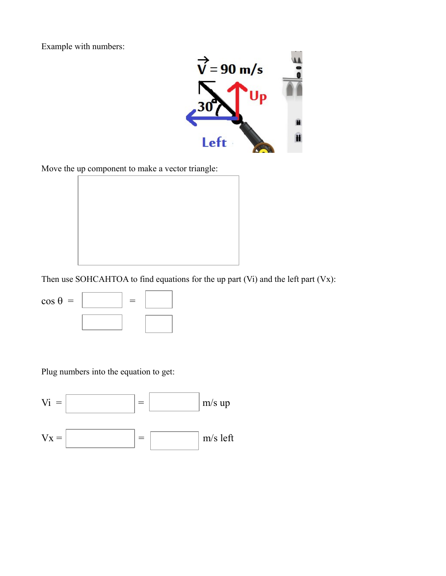Example with numbers:



Move the up component to make a vector triangle:



Then use SOHCAHTOA to find equations for the up part (Vi) and the left part (Vx):



Plug numbers into the equation to get: